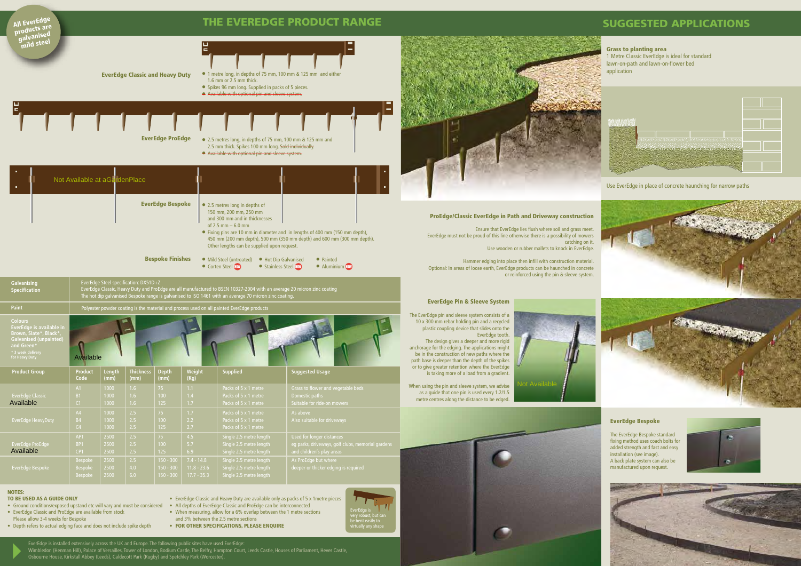EverEdge is installed extensively across the UK and Europe. The following public sites have used EverEdge: Wimbledon (Henman Hill), Palace of Versailles, Tower of London, Bodium Castle, The Belfry, Hampton Court, Leeds Castle, Houses of Parliament, Hever Castle, Osbourne House, Kirkstall Abbey (Leeds), Caldecott Park (Rugby) and Spetchley Park (Worcester).



NOTES:

#### TO BE USED AS A GUIDE ONLY

- Ground conditions/exposed upstand etc will vary and must be considered
- EverEdge Classic and ProEdge are available from stock
- Please allow 3-4 weeks for Bespoke
- Depth refers to actual edging face and does not include spike depth
- EverEdge Classic and Heavy Duty are available only as packs of 5 x 1metre pieces
- All depths of EverEdge Classic and ProEdge can be interconnected
- When measuring, allow for a 6% overlap between the 1 metre sections and 3% between the 2.5 metre sections
- FOR OTHER SPECIFICATIONS, PLEASE ENQUIRE
-